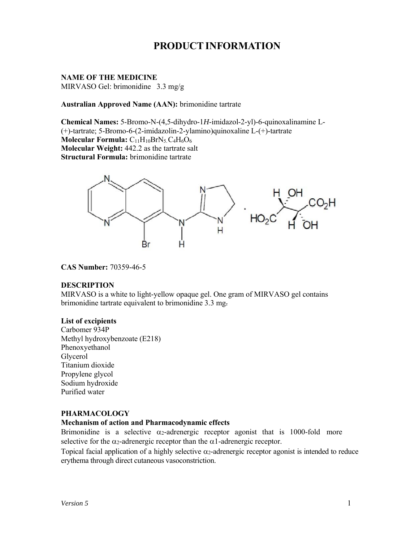# **PRODUCT INFORMATION**

# **NAME OF THE MEDICINE**

MIRVASO Gel: brimonidine 3.3 mg/g

#### **Australian Approved Name (AAN):** brimonidine tartrate

**Chemical Names:** 5-Bromo-N-(4,5-dihydro-1*H*-imidazol-2-yl)-6-quinoxalinamine L- (+)-tartrate; 5-Bromo-6-(2-imidazolin-2-ylamino)quinoxaline L-(+)-tartrate **Molecular Formula:**  $C_{11}H_{10}BrN_5.C_4H_6O_6$ **Molecular Weight:** 442.2 as the tartrate salt **Structural Formula:** brimonidine tartrate



#### **CAS Number:** 70359-46-5

#### **DESCRIPTION**

MIRVASO is a white to light-yellow opaque gel. One gram of MIRVASO gel contains brimonidine tartrate equivalent to brimonidine 3.3 mg.

#### **List of excipients**

Carbomer 934P Methyl hydroxybenzoate (E218) Phenoxyethanol Glycerol Titanium dioxide Propylene glycol Sodium hydroxide Purified water

#### **PHARMACOLOGY**

#### **Mechanism of action and Pharmacodynamic effects**

Brimonidine is a selective  $\alpha_2$ -adrenergic receptor agonist that is 1000-fold more selective for the  $\alpha_2$ -adrenergic receptor than the  $\alpha_1$ -adrenergic receptor.

Topical facial application of a highly selective  $\alpha_2$ -adrenergic receptor agonist is intended to reduce erythema through direct cutaneous vasoconstriction.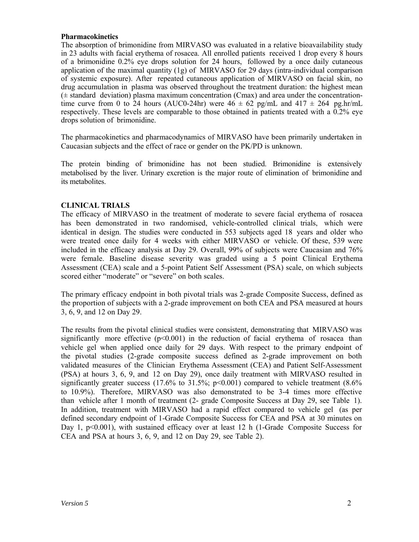#### **Pharmacokinetics**

The absorption of brimonidine from MIRVASO was evaluated in a relative bioavailability study in 23 adults with facial erythema of rosacea. All enrolled patients received 1 drop every 8 hours of a brimonidine 0.2% eye drops solution for 24 hours, followed by a once daily cutaneous application of the maximal quantity (1g) of MIRVASO for 29 days (intra-individual comparison of systemic exposure). After repeated cutaneous application of MIRVASO on facial skin, no drug accumulation in plasma was observed throughout the treatment duration: the highest mean  $(\pm$  standard deviation) plasma maximum concentration (Cmax) and area under the concentrationtime curve from 0 to 24 hours (AUC0-24hr) were  $46 \pm 62$  pg/mL and  $417 \pm 264$  pg.hr/mL respectively. These levels are comparable to those obtained in patients treated with a 0.2% eye drops solution of brimonidine.

The pharmacokinetics and pharmacodynamics of MIRVASO have been primarily undertaken in Caucasian subjects and the effect of race or gender on the PK/PD is unknown.

The protein binding of brimonidine has not been studied. Brimonidine is extensively metabolised by the liver. Urinary excretion is the major route of elimination of brimonidine and its metabolites.

#### **CLINICAL TRIALS**

The efficacy of MIRVASO in the treatment of moderate to severe facial erythema of rosacea has been demonstrated in two randomised, vehicle-controlled clinical trials, which were identical in design. The studies were conducted in 553 subjects aged 18 years and older who were treated once daily for 4 weeks with either MIRVASO or vehicle. Of these, 539 were included in the efficacy analysis at Day 29. Overall, 99% of subjects were Caucasian and 76% were female. Baseline disease severity was graded using a 5 point Clinical Erythema Assessment (CEA) scale and a 5-point Patient Self Assessment (PSA) scale, on which subjects scored either "moderate" or "severe" on both scales.

The primary efficacy endpoint in both pivotal trials was 2-grade Composite Success, defined as the proportion of subjects with a 2-grade improvement on both CEA and PSA measured at hours 3, 6, 9, and 12 on Day 29.

The results from the pivotal clinical studies were consistent, demonstrating that MIRVASO was significantly more effective  $(p<0.001)$  in the reduction of facial erythema of rosacea than vehicle gel when applied once daily for 29 days. With respect to the primary endpoint of the pivotal studies (2-grade composite success defined as 2-grade improvement on both validated measures of the Clinician Erythema Assessment (CEA) and Patient Self-Assessment (PSA) at hours 3, 6, 9, and 12 on Day 29), once daily treatment with MIRVASO resulted in significantly greater success (17.6% to 31.5%;  $p<0.001$ ) compared to vehicle treatment (8.6%) to 10.9%). Therefore, MIRVASO was also demonstrated to be 3-4 times more effective than vehicle after 1 month of treatment (2- grade Composite Success at Day 29, see Table 1). In addition, treatment with MIRVASO had a rapid effect compared to vehicle gel (as per defined secondary endpoint of 1-Grade Composite Success for CEA and PSA at 30 minutes on Day 1,  $p<0.001$ ), with sustained efficacy over at least 12 h (1-Grade Composite Success for CEA and PSA at hours 3, 6, 9, and 12 on Day 29, see Table 2).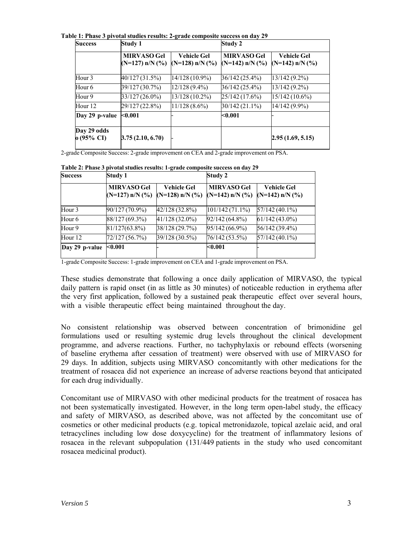**Table 1: Phase 3 pivotal studies results: 2-grade composite success on day 29**

| <b>Success</b>            | Study 1                                    |                                         | Study 2                                    |                                             |  |
|---------------------------|--------------------------------------------|-----------------------------------------|--------------------------------------------|---------------------------------------------|--|
|                           | <b>MIRVASO Gel</b><br>$(N=127)$ n/N $(\%)$ | <b>Vehicle Gel</b><br>(N=128) $n/N$ (%) | <b>MIRVASO Gel</b><br>$(N=142)$ n/N $(\%)$ | <b>Vehicle Gel</b><br>$(N=142)$ n/N $(\%$ ) |  |
| Hour 3                    | 40/127 (31.5%)                             | $14/128(10.9\%)$                        | 36/142 (25.4%)                             | $13/142(9.2\%)$                             |  |
| Hour 6                    | 39/127 (30.7%)                             | $12/128(9.4\%)$                         | 36/142 (25.4%)                             | 13/142 (9.2%)                               |  |
| Hour 9                    | 33/127 (26.0%)                             | 13/128 (10.2%)                          | 25/142 (17.6%)                             | 15/142 (10.6%)                              |  |
| Hour <sub>12</sub>        | 29/127 (22.8%)                             | $11/128(8.6\%)$                         | 30/142 (21.1%)                             | $14/142(9.9\%)$                             |  |
| Day 29 p-value            | < 0.001                                    |                                         | < 0.001                                    |                                             |  |
| Day 29 odds<br>o (95% CI) | 3.75(2.10, 6.70)                           |                                         |                                            | 2.95(1.69, 5.15)                            |  |

2-grade Composite Success: 2-grade improvement on CEA and 2-grade improvement on PSA.

| <b>Success</b>    | Study 1                                    |                                             | Study 2                                    |                                             |  |
|-------------------|--------------------------------------------|---------------------------------------------|--------------------------------------------|---------------------------------------------|--|
|                   | <b>MIRVASO Gel</b><br>$(N=127)$ n/N $(\%)$ | <b>Vehicle Gel</b><br>$(N=128)$ n/N $(\%$ ) | <b>MIRVASO Gel</b><br>$(N=142)$ n/N $(\%)$ | <b>Vehicle Gel</b><br>$(N=142)$ n/N $(\%$ ) |  |
| Hour <sub>3</sub> | 90/127 (70.9%)                             | 42/128 (32.8%)                              | 101/142 (71.1%)                            | $57/142(40.1\%)$                            |  |
| Hour <sub>6</sub> | 88/127 (69.3%)                             | 41/128 (32.0%)                              | 92/142 (64.8%)                             | $61/142(43.0\%)$                            |  |
| Hour 9            | 81/127(63.8%)                              | 38/128 (29.7%)                              | 95/142 (66.9%)                             | 56/142 (39.4%)                              |  |
| Hour 12           | 72/127 (56.7%)                             | 39/128 (30.5%)                              | 76/142 (53.5%)                             | 57/142 (40.1%)                              |  |
| Day 29 p-value    | < 0.001                                    |                                             | $0.001$                                    |                                             |  |

**Table 2: Phase 3 pivotal studies results: 1-grade composite success on day 29**

1-grade Composite Success: 1-grade improvement on CEA and 1-grade improvement on PSA.

These studies demonstrate that following a once daily application of MIRVASO, the typical daily pattern is rapid onset (in as little as 30 minutes) of noticeable reduction in erythema after the very first application, followed by a sustained peak therapeutic effect over several hours, with a visible therapeutic effect being maintained throughout the day.

No consistent relationship was observed between concentration of brimonidine gel formulations used or resulting systemic drug levels throughout the clinical development programme, and adverse reactions. Further, no tachyphylaxis or rebound effects (worsening of baseline erythema after cessation of treatment) were observed with use of MIRVASO for 29 days. In addition, subjects using MIRVASO concomitantly with other medications for the treatment of rosacea did not experience an increase of adverse reactions beyond that anticipated for each drug individually.

Concomitant use of MIRVASO with other medicinal products for the treatment of rosacea has not been systematically investigated. However, in the long term open-label study, the efficacy and safety of MIRVASO, as described above, was not affected by the concomitant use of cosmetics or other medicinal products (e.g. topical metronidazole, topical azelaic acid, and oral tetracyclines including low dose doxycycline) for the treatment of inflammatory lesions of rosacea in the relevant subpopulation (131/449 patients in the study who used concomitant rosacea medicinal product).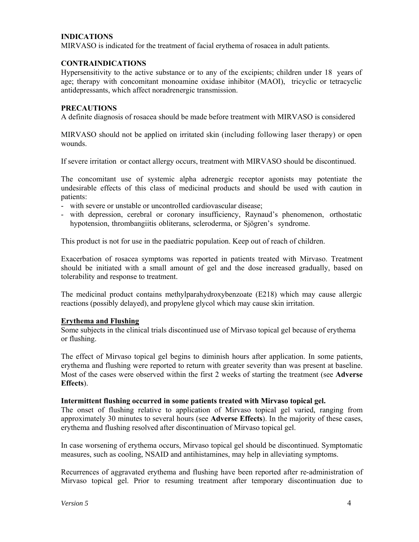# **INDICATIONS**

MIRVASO is indicated for the treatment of facial erythema of rosacea in adult patients.

## **CONTRAINDICATIONS**

Hypersensitivity to the active substance or to any of the excipients; children under 18 years of age; therapy with concomitant monoamine oxidase inhibitor (MAOI), tricyclic or tetracyclic antidepressants, which affect noradrenergic transmission.

#### **PRECAUTIONS**

A definite diagnosis of rosacea should be made before treatment with MIRVASO is considered

MIRVASO should not be applied on irritated skin (including following laser therapy) or open wounds.

If severe irritation or contact allergy occurs, treatment with MIRVASO should be discontinued.

The concomitant use of systemic alpha adrenergic receptor agonists may potentiate the undesirable effects of this class of medicinal products and should be used with caution in patients:

- with severe or unstable or uncontrolled cardiovascular disease;
- with depression, cerebral or coronary insufficiency, Raynaud's phenomenon, orthostatic hypotension, thrombangiitis obliterans, scleroderma, or Sjögren's syndrome.

This product is not for use in the paediatric population. Keep out of reach of children.

Exacerbation of rosacea symptoms was reported in patients treated with Mirvaso. Treatment should be initiated with a small amount of gel and the dose increased gradually, based on tolerability and response to treatment.

The medicinal product contains methylparahydroxybenzoate (E218) which may cause allergic reactions (possibly delayed), and propylene glycol which may cause skin irritation.

#### **Erythema and Flushing**

Some subjects in the clinical trials discontinued use of Mirvaso topical gel because of erythema or flushing.

The effect of Mirvaso topical gel begins to diminish hours after application. In some patients, erythema and flushing were reported to return with greater severity than was present at baseline. Most of the cases were observed within the first 2 weeks of starting the treatment (see **Adverse Effects**).

#### **Intermittent flushing occurred in some patients treated with Mirvaso topical gel.**

The onset of flushing relative to application of Mirvaso topical gel varied, ranging from approximately 30 minutes to several hours (see **Adverse Effects**). In the majority of these cases, erythema and flushing resolved after discontinuation of Mirvaso topical gel.

In case worsening of erythema occurs, Mirvaso topical gel should be discontinued. Symptomatic measures, such as cooling, NSAID and antihistamines, may help in alleviating symptoms.

Recurrences of aggravated erythema and flushing have been reported after re-administration of Mirvaso topical gel. Prior to resuming treatment after temporary discontinuation due to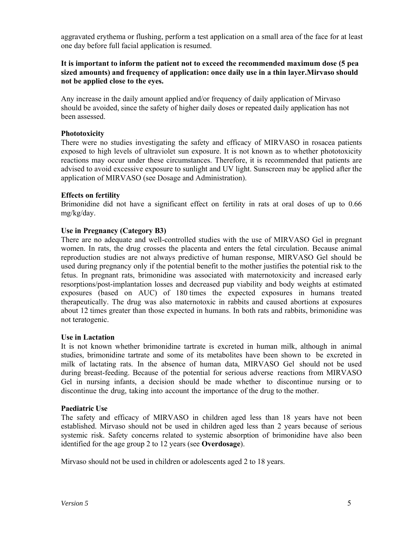aggravated erythema or flushing, perform a test application on a small area of the face for at least one day before full facial application is resumed.

# **It is important to inform the patient not to exceed the recommended maximum dose (5 pea sized amounts) and frequency of application: once daily use in a thin layer.Mirvaso should not be applied close to the eyes.**

Any increase in the daily amount applied and/or frequency of daily application of Mirvaso should be avoided, since the safety of higher daily doses or repeated daily application has not been assessed.

#### **Phototoxicity**

There were no studies investigating the safety and efficacy of MIRVASO in rosacea patients exposed to high levels of ultraviolet sun exposure. It is not known as to whether phototoxicity reactions may occur under these circumstances. Therefore, it is recommended that patients are advised to avoid excessive exposure to sunlight and UV light. Sunscreen may be applied after the application of MIRVASO (see Dosage and Administration).

# **Effects on fertility**

Brimonidine did not have a significant effect on fertility in rats at oral doses of up to 0.66 mg/kg/day.

# **Use in Pregnancy (Category B3)**

There are no adequate and well-controlled studies with the use of MIRVASO Gel in pregnant women. In rats, the drug crosses the placenta and enters the fetal circulation. Because animal reproduction studies are not always predictive of human response, MIRVASO Gel should be used during pregnancy only if the potential benefit to the mother justifies the potential risk to the fetus. In pregnant rats, brimonidine was associated with maternotoxicity and increased early resorptions/post-implantation losses and decreased pup viability and body weights at estimated exposures (based on AUC) of 180 times the expected exposures in humans treated therapeutically. The drug was also maternotoxic in rabbits and caused abortions at exposures about 12 times greater than those expected in humans. In both rats and rabbits, brimonidine was not teratogenic.

#### **Use in Lactation**

It is not known whether brimonidine tartrate is excreted in human milk, although in animal studies, brimonidine tartrate and some of its metabolites have been shown to be excreted in milk of lactating rats. In the absence of human data, MIRVASO Gel should not be used during breast-feeding. Because of the potential for serious adverse reactions from MIRVASO Gel in nursing infants, a decision should be made whether to discontinue nursing or to discontinue the drug, taking into account the importance of the drug to the mother.

#### **Paediatric Use**

The safety and efficacy of MIRVASO in children aged less than 18 years have not been established. Mirvaso should not be used in children aged less than 2 years because of serious systemic risk. Safety concerns related to systemic absorption of brimonidine have also been identified for the age group 2 to 12 years (see **Overdosage**).

Mirvaso should not be used in children or adolescents aged 2 to 18 years.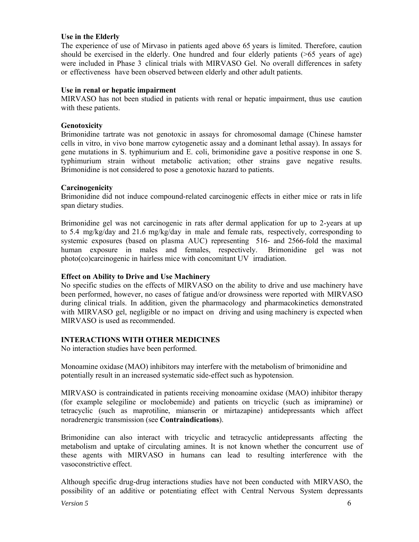#### **Use in the Elderly**

The experience of use of Mirvaso in patients aged above 65 years is limited. Therefore, caution should be exercised in the elderly. One hundred and four elderly patients  $($  >65 years of age) were included in Phase 3 clinical trials with MIRVASO Gel. No overall differences in safety or effectiveness have been observed between elderly and other adult patients.

# **Use in renal or hepatic impairment**

MIRVASO has not been studied in patients with renal or hepatic impairment, thus use caution with these patients.

#### **Genotoxicity**

Brimonidine tartrate was not genotoxic in assays for chromosomal damage (Chinese hamster cells in vitro, in vivo bone marrow cytogenetic assay and a dominant lethal assay). In assays for gene mutations in S. typhimurium and E. coli, brimonidine gave a positive response in one S. typhimurium strain without metabolic activation; other strains gave negative results. Brimonidine is not considered to pose a genotoxic hazard to patients.

# **Carcinogenicity**

Brimonidine did not induce compound-related carcinogenic effects in either mice or rats in life span dietary studies.

Brimonidine gel was not carcinogenic in rats after dermal application for up to 2-years at up to 5.4 mg/kg/day and 21.6 mg/kg/day in male and female rats, respectively, corresponding to systemic exposures (based on plasma AUC) representing 516- and 2566-fold the maximal human exposure in males and females, respectively. Brimonidine gel was not photo(co)carcinogenic in hairless mice with concomitant UV irradiation.

# **Effect on Ability to Drive and Use Machinery**

No specific studies on the effects of MIRVASO on the ability to drive and use machinery have been performed, however, no cases of fatigue and/or drowsiness were reported with MIRVASO during clinical trials. In addition, given the pharmacology and pharmacokinetics demonstrated with MIRVASO gel, negligible or no impact on driving and using machinery is expected when MIRVASO is used as recommended.

#### **INTERACTIONS WITH OTHER MEDICINES**

No interaction studies have been performed.

Monoamine oxidase (MAO) inhibitors may interfere with the metabolism of brimonidine and potentially result in an increased systematic side-effect such as hypotension.

MIRVASO is contraindicated in patients receiving monoamine oxidase (MAO) inhibitor therapy (for example selegiline or moclobemide) and patients on tricyclic (such as imipramine) or tetracyclic (such as maprotiline, mianserin or mirtazapine) antidepressants which affect noradrenergic transmission (see **Contraindications**).

Brimonidine can also interact with tricyclic and tetracyclic antidepressants affecting the metabolism and uptake of circulating amines. It is not known whether the concurrent use of these agents with MIRVASO in humans can lead to resulting interference with the vasoconstrictive effect.

Although specific drug-drug interactions studies have not been conducted with MIRVASO, the possibility of an additive or potentiating effect with Central Nervous System depressants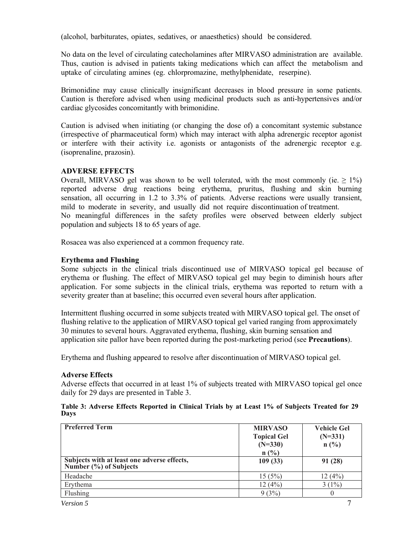(alcohol, barbiturates, opiates, sedatives, or anaesthetics) should be considered.

No data on the level of circulating catecholamines after MIRVASO administration are available. Thus, caution is advised in patients taking medications which can affect the metabolism and uptake of circulating amines (eg. chlorpromazine, methylphenidate, reserpine).

Brimonidine may cause clinically insignificant decreases in blood pressure in some patients. Caution is therefore advised when using medicinal products such as anti-hypertensives and/or cardiac glycosides concomitantly with brimonidine.

Caution is advised when initiating (or changing the dose of) a concomitant systemic substance (irrespective of pharmaceutical form) which may interact with alpha adrenergic receptor agonist or interfere with their activity i.e. agonists or antagonists of the adrenergic receptor e.g. (isoprenaline, prazosin).

# **ADVERSE EFFECTS**

Overall, MIRVASO gel was shown to be well tolerated, with the most commonly (ie.  $\geq 1\%$ ) reported adverse drug reactions being erythema, pruritus, flushing and skin burning sensation, all occurring in 1.2 to 3.3% of patients. Adverse reactions were usually transient, mild to moderate in severity, and usually did not require discontinuation of treatment. No meaningful differences in the safety profiles were observed between elderly subject population and subjects 18 to 65 years of age.

Rosacea was also experienced at a common frequency rate.

# **Erythema and Flushing**

Some subjects in the clinical trials discontinued use of MIRVASO topical gel because of erythema or flushing. The effect of MIRVASO topical gel may begin to diminish hours after application. For some subjects in the clinical trials, erythema was reported to return with a severity greater than at baseline; this occurred even several hours after application.

Intermittent flushing occurred in some subjects treated with MIRVASO topical gel. The onset of flushing relative to the application of MIRVASO topical gel varied ranging from approximately 30 minutes to several hours. Aggravated erythema, flushing, skin burning sensation and application site pallor have been reported during the post-marketing period (see **Precautions**).

Erythema and flushing appeared to resolve after discontinuation of MIRVASO topical gel.

#### **Adverse Effects**

Adverse effects that occurred in at least 1% of subjects treated with MIRVASO topical gel once daily for 29 days are presented in Table 3.

| Table 3: Adverse Effects Reported in Clinical Trials by at Least 1% of Subjects Treated for 29 |  |  |  |  |  |  |
|------------------------------------------------------------------------------------------------|--|--|--|--|--|--|
| Days                                                                                           |  |  |  |  |  |  |

| <b>Preferred Term</b>                                                 | <b>MIRVASO</b><br><b>Topical Gel</b><br>$(N=330)$<br>$n(^{0}/_{0})$ | <b>Vehicle Gel</b><br>$(N=331)$<br>n(%) |
|-----------------------------------------------------------------------|---------------------------------------------------------------------|-----------------------------------------|
| Subjects with at least one adverse effects,<br>Number (%) of Subjects | 109(33)                                                             | 91 (28)                                 |
| Headache                                                              | 15(5%)                                                              | 12(4%)                                  |
| Erythema                                                              | 12(4%)                                                              | $3(1\%)$                                |
| Flushing                                                              | 9(3%)                                                               |                                         |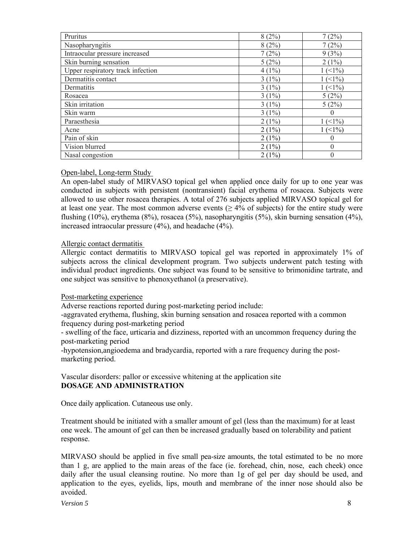| Pruritus                          | 8(2%)    | 7(2%)                       |
|-----------------------------------|----------|-----------------------------|
| Nasopharyngitis                   | 8(2%)    | 7(2%)                       |
| Intraocular pressure increased    | 7(2%)    | 9(3%)                       |
| Skin burning sensation            | 5(2%)    | $2(1\%)$                    |
| Upper respiratory track infection | $4(1\%)$ | $1(1\%)$                    |
| Dermatitis contact                | $3(1\%)$ | $1(1\%)$                    |
| Dermatitis                        | $3(1\%)$ | $1 \left( \leq 1\% \right)$ |
| Rosacea                           | $3(1\%)$ | 5(2%)                       |
| Skin irritation                   | $3(1\%)$ | 5(2%)                       |
| Skin warm                         | $3(1\%)$ |                             |
| Paraesthesia                      | $2(1\%)$ | (<1%)                       |
| Acne                              | $2(1\%)$ | (<1%)                       |
| Pain of skin                      | $2(1\%)$ |                             |
| Vision blurred                    | $2(1\%)$ |                             |
| Nasal congestion                  | $2(1\%)$ |                             |

#### Open-label, Long-term Study

An open-label study of MIRVASO topical gel when applied once daily for up to one year was conducted in subjects with persistent (nontransient) facial erythema of rosacea. Subjects were allowed to use other rosacea therapies. A total of 276 subjects applied MIRVASO topical gel for at least one year. The most common adverse events  $(≥ 4%$  of subjects) for the entire study were flushing (10%), erythema (8%), rosacea (5%), nasopharyngitis (5%), skin burning sensation (4%), increased intraocular pressure (4%), and headache (4%).

#### Allergic contact dermatitis

Allergic contact dermatitis to MIRVASO topical gel was reported in approximately 1% of subjects across the clinical development program. Two subjects underwent patch testing with individual product ingredients. One subject was found to be sensitive to brimonidine tartrate, and one subject was sensitive to phenoxyethanol (a preservative).

#### Post-marketing experience

Adverse reactions reported during post-marketing period include:

-aggravated erythema, flushing, skin burning sensation and rosacea reported with a common frequency during post-marketing period

- swelling of the face, urticaria and dizziness, reported with an uncommon frequency during the post-marketing period

-hypotension,angioedema and bradycardia, reported with a rare frequency during the postmarketing period.

Vascular disorders: pallor or excessive whitening at the application site **DOSAGE AND ADMINISTRATION**

Once daily application. Cutaneous use only.

Treatment should be initiated with a smaller amount of gel (less than the maximum) for at least one week. The amount of gel can then be increased gradually based on tolerability and patient response.

MIRVASO should be applied in five small pea-size amounts, the total estimated to be no more than 1 g, are applied to the main areas of the face (ie. forehead, chin, nose, each cheek) once daily after the usual cleansing routine. No more than 1g of gel per day should be used, and application to the eyes, eyelids, lips, mouth and membrane of the inner nose should also be avoided.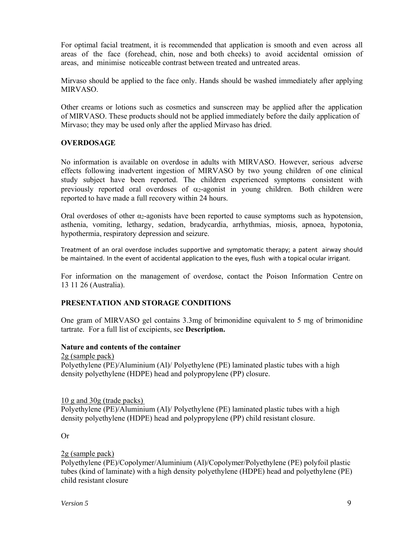For optimal facial treatment, it is recommended that application is smooth and even across all areas of the face (forehead, chin, nose and both cheeks) to avoid accidental omission of areas, and minimise noticeable contrast between treated and untreated areas.

Mirvaso should be applied to the face only. Hands should be washed immediately after applying MIRVASO.

Other creams or lotions such as cosmetics and sunscreen may be applied after the application of MIRVASO. These products should not be applied immediately before the daily application of Mirvaso; they may be used only after the applied Mirvaso has dried.

# **OVERDOSAGE**

No information is available on overdose in adults with MIRVASO. However, serious adverse effects following inadvertent ingestion of MIRVASO by two young children of one clinical study subject have been reported. The children experienced symptoms consistent with previously reported oral overdoses of  $\alpha_2$ -agonist in young children. Both children were reported to have made a full recovery within 24 hours.

Oral overdoses of other  $\alpha_2$ -agonists have been reported to cause symptoms such as hypotension, asthenia, vomiting, lethargy, sedation, bradycardia, arrhythmias, miosis, apnoea, hypotonia, hypothermia, respiratory depression and seizure.

Treatment of an oral overdose includes supportive and symptomatic therapy; a patent airway should be maintained. In the event of accidental application to the eyes, flush with a topical ocular irrigant.

For information on the management of overdose, contact the Poison Information Centre on 13 11 26 (Australia).

# **PRESENTATION AND STORAGE CONDITIONS**

One gram of MIRVASO gel contains 3.3mg of brimonidine equivalent to 5 mg of brimonidine tartrate. For a full list of excipients, see **Description.**

#### **Nature and contents of the container**

2g (sample pack) Polyethylene (PE)/Aluminium (Al)/ Polyethylene (PE) laminated plastic tubes with a high density polyethylene (HDPE) head and polypropylene (PP) closure.

10 g and 30g (trade packs)

Polyethylene (PE)/Aluminium (Al)/ Polyethylene (PE) laminated plastic tubes with a high density polyethylene (HDPE) head and polypropylene (PP) child resistant closure.

Or

#### 2g (sample pack)

Polyethylene (PE)/Copolymer/Aluminium (Al)/Copolymer/Polyethylene (PE) polyfoil plastic tubes (kind of laminate) with a high density polyethylene (HDPE) head and polyethylene (PE) child resistant closure